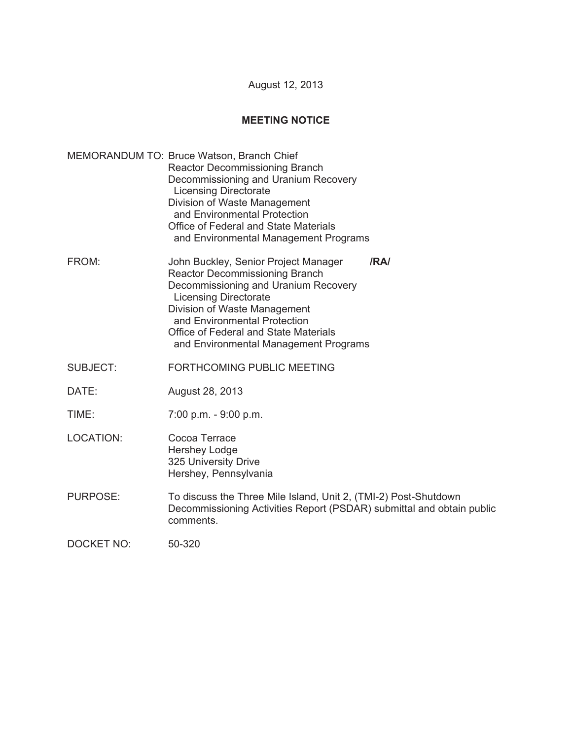August 12, 2013

## **MEETING NOTICE**

- MEMORANDUM TO: Bruce Watson, Branch Chief Reactor Decommissioning Branch Decommissioning and Uranium Recovery Licensing Directorate Division of Waste Management and Environmental Protection Office of Federal and State Materials and Environmental Management Programs
- FROM: John Buckley, Senior Project Manager **/RA/**  Reactor Decommissioning Branch Decommissioning and Uranium Recovery Licensing Directorate Division of Waste Management and Environmental Protection Office of Federal and State Materials and Environmental Management Programs
- SUBJECT: FORTHCOMING PUBLIC MEETING
- DATE: August 28, 2013
- TIME: 7:00 p.m. 9:00 p.m.
- LOCATION: Cocoa Terrace Hershey Lodge 325 University Drive Hershey, Pennsylvania
- PURPOSE: To discuss the Three Mile Island, Unit 2, (TMI-2) Post-Shutdown Decommissioning Activities Report (PSDAR) submittal and obtain public comments.

DOCKET NO: 50-320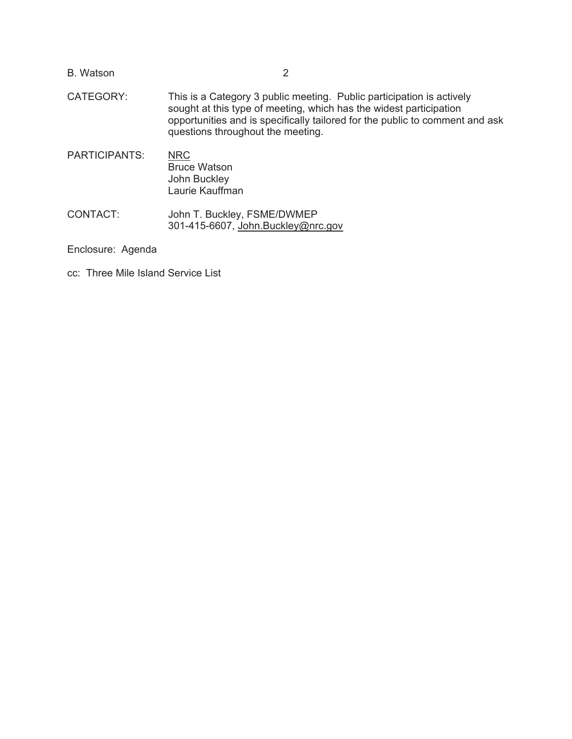| <b>B.</b> Watson     |                                                                                                                                                                                                                                                                  |
|----------------------|------------------------------------------------------------------------------------------------------------------------------------------------------------------------------------------------------------------------------------------------------------------|
| CATEGORY:            | This is a Category 3 public meeting. Public participation is actively<br>sought at this type of meeting, which has the widest participation<br>opportunities and is specifically tailored for the public to comment and ask<br>questions throughout the meeting. |
| <b>PARTICIPANTS:</b> | <b>NRC</b><br><b>Bruce Watson</b><br>John Buckley<br>Laurie Kauffman                                                                                                                                                                                             |
| CONTACT:             | John T. Buckley, FSME/DWMEP<br>301-415-6607, John.Buckley@nrc.gov                                                                                                                                                                                                |
|                      |                                                                                                                                                                                                                                                                  |

Enclosure: Agenda

cc: Three Mile Island Service List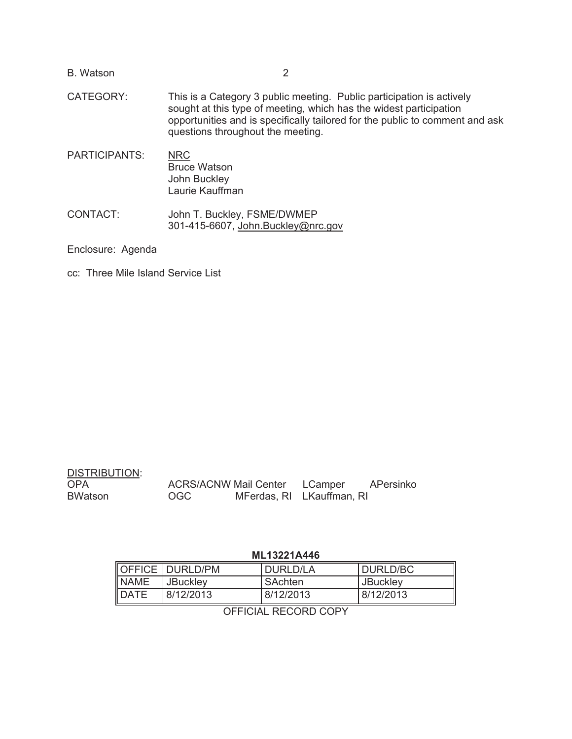| <b>B.</b> Watson  |                                                                                                                                                                                                                                                                  |
|-------------------|------------------------------------------------------------------------------------------------------------------------------------------------------------------------------------------------------------------------------------------------------------------|
| CATEGORY:         | This is a Category 3 public meeting. Public participation is actively<br>sought at this type of meeting, which has the widest participation<br>opportunities and is specifically tailored for the public to comment and ask<br>questions throughout the meeting. |
| PARTICIPANTS:     | <b>NRC</b><br><b>Bruce Watson</b><br>John Buckley<br>Laurie Kauffman                                                                                                                                                                                             |
| CONTACT:          | John T. Buckley, FSME/DWMEP<br>301-415-6607, John.Buckley@nrc.gov                                                                                                                                                                                                |
| Enclosure: Agenda |                                                                                                                                                                                                                                                                  |

cc: Three Mile Island Service List

| <b>DISTRIBUTION:</b> |     |                                      |           |
|----------------------|-----|--------------------------------------|-----------|
| <b>OPA</b>           |     | <b>ACRS/ACNW Mail Center LCamper</b> | APersinko |
| <b>BWatson</b>       | OGC | MFerdas, RI LKauffman, RI            |           |

## **ML13221A446**

|              | OFFICE DURLD/PM | DURLD/LA  | DURLD/BC        |
|--------------|-----------------|-----------|-----------------|
| <b>NAME</b>  | <b>JBuckley</b> | SAchten   | <b>JBuckley</b> |
| <b>IDATE</b> | 8/12/2013       | 8/12/2013 | 8/12/2013       |

OFFICIAL RECORD COPY